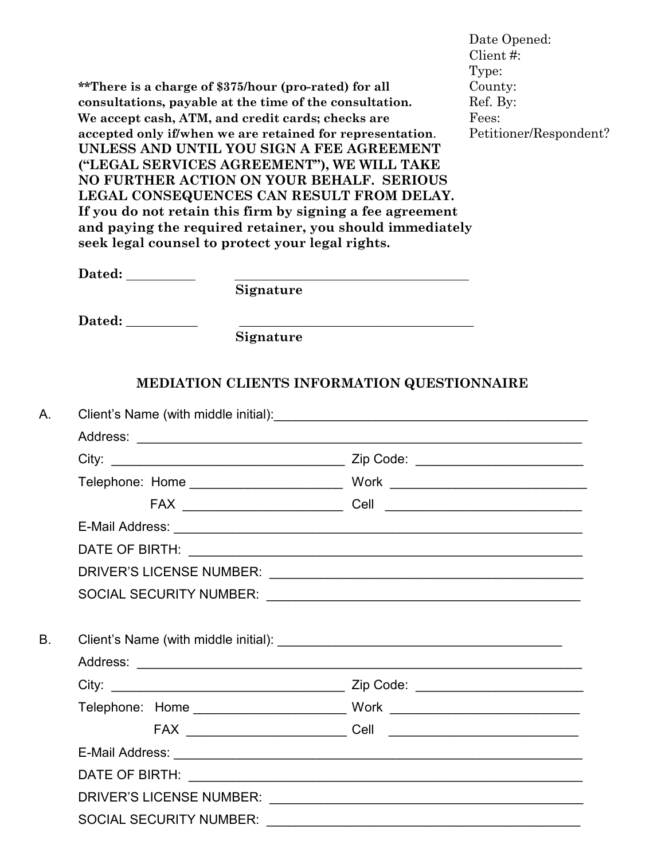|        | **There is a charge of \$375/hour (pro-rated) for all<br>consultations, payable at the time of the consultation.<br>We accept cash, ATM, and credit cards; checks are<br>accepted only if/when we are retained for representation.<br>UNLESS AND UNTIL YOU SIGN A FEE AGREEMENT<br>("LEGAL SERVICES AGREEMENT"), WE WILL TAKE<br>NO FURTHER ACTION ON YOUR BEHALF. SERIOUS<br>LEGAL CONSEQUENCES CAN RESULT FROM DELAY.<br>seek legal counsel to protect your legal rights. | If you do not retain this firm by signing a fee agreement<br>and paying the required retainer, you should immediately | Date Opened:<br>Client #:<br>Type:<br>County:<br>Ref. By:<br>Fees:<br>Petitioner/Respondent? |
|--------|-----------------------------------------------------------------------------------------------------------------------------------------------------------------------------------------------------------------------------------------------------------------------------------------------------------------------------------------------------------------------------------------------------------------------------------------------------------------------------|-----------------------------------------------------------------------------------------------------------------------|----------------------------------------------------------------------------------------------|
| Dated: |                                                                                                                                                                                                                                                                                                                                                                                                                                                                             | <u> 1980 - Johann Barn, fransk politik fotograf (d. 1980)</u>                                                         |                                                                                              |
|        | Signature                                                                                                                                                                                                                                                                                                                                                                                                                                                                   |                                                                                                                       |                                                                                              |
| Dated: |                                                                                                                                                                                                                                                                                                                                                                                                                                                                             |                                                                                                                       |                                                                                              |
|        | Signature                                                                                                                                                                                                                                                                                                                                                                                                                                                                   |                                                                                                                       |                                                                                              |
|        |                                                                                                                                                                                                                                                                                                                                                                                                                                                                             |                                                                                                                       |                                                                                              |
|        |                                                                                                                                                                                                                                                                                                                                                                                                                                                                             |                                                                                                                       |                                                                                              |
|        |                                                                                                                                                                                                                                                                                                                                                                                                                                                                             |                                                                                                                       |                                                                                              |
|        |                                                                                                                                                                                                                                                                                                                                                                                                                                                                             |                                                                                                                       |                                                                                              |
|        |                                                                                                                                                                                                                                                                                                                                                                                                                                                                             |                                                                                                                       |                                                                                              |
|        |                                                                                                                                                                                                                                                                                                                                                                                                                                                                             |                                                                                                                       |                                                                                              |
|        |                                                                                                                                                                                                                                                                                                                                                                                                                                                                             |                                                                                                                       |                                                                                              |
|        |                                                                                                                                                                                                                                                                                                                                                                                                                                                                             |                                                                                                                       |                                                                                              |
|        |                                                                                                                                                                                                                                                                                                                                                                                                                                                                             |                                                                                                                       |                                                                                              |
|        |                                                                                                                                                                                                                                                                                                                                                                                                                                                                             |                                                                                                                       |                                                                                              |
|        |                                                                                                                                                                                                                                                                                                                                                                                                                                                                             |                                                                                                                       |                                                                                              |
|        |                                                                                                                                                                                                                                                                                                                                                                                                                                                                             |                                                                                                                       |                                                                                              |
|        |                                                                                                                                                                                                                                                                                                                                                                                                                                                                             |                                                                                                                       |                                                                                              |
|        |                                                                                                                                                                                                                                                                                                                                                                                                                                                                             |                                                                                                                       |                                                                                              |
|        |                                                                                                                                                                                                                                                                                                                                                                                                                                                                             |                                                                                                                       |                                                                                              |
|        |                                                                                                                                                                                                                                                                                                                                                                                                                                                                             |                                                                                                                       |                                                                                              |
|        |                                                                                                                                                                                                                                                                                                                                                                                                                                                                             |                                                                                                                       |                                                                                              |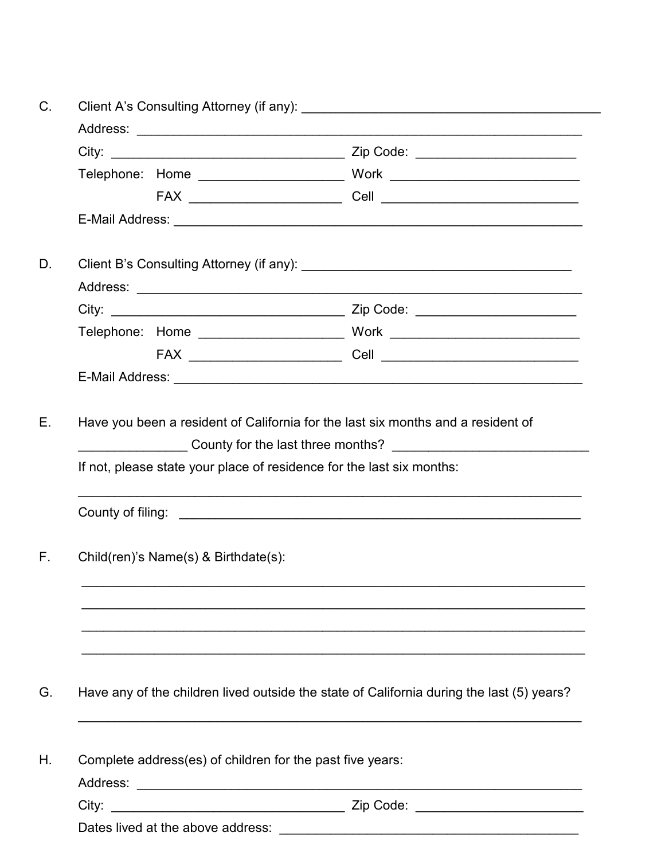| If not, please state your place of residence for the last six months: | Have you been a resident of California for the last six months and a resident of                                                                                  |
|-----------------------------------------------------------------------|-------------------------------------------------------------------------------------------------------------------------------------------------------------------|
|                                                                       |                                                                                                                                                                   |
| Child(ren)'s Name(s) & Birthdate(s):                                  |                                                                                                                                                                   |
|                                                                       |                                                                                                                                                                   |
|                                                                       |                                                                                                                                                                   |
| Complete address(es) of children for the past five years:             |                                                                                                                                                                   |
|                                                                       | ___ County for the last three months? ______________________________<br>Have any of the children lived outside the state of California during the last (5) years? |